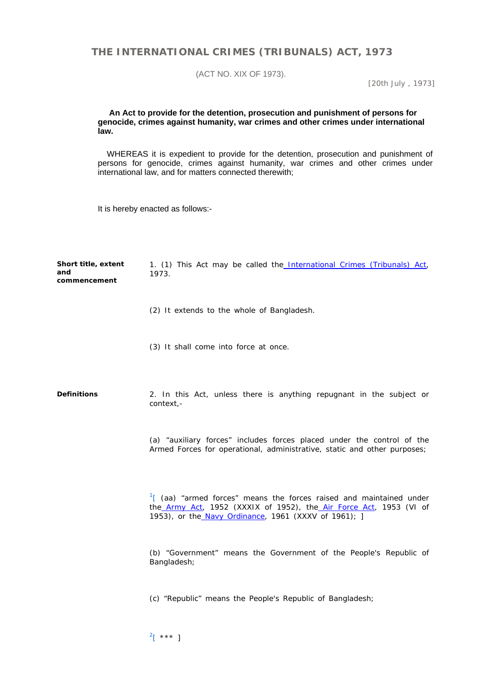## **THE INTERNATIONAL CRIMES (TRIBUNALS) ACT, 1973**

(ACT NO. XIX OF 1973).

[*20th July , 1973*]

## **An Act to provide for the detention, prosecution and punishment of persons for genocide, crimes against humanity, war crimes and other crimes under international law.**

 WHEREAS it is expedient to provide for the detention, prosecution and punishment of persons for genocide, crimes against humanity, war crimes and other crimes under international law, and for matters connected therewith;

It is hereby enacted as follows:-

| Short title, extent<br>and<br>commencement | 1. (1) This Act may be called the International Crimes (Tribunals) Act,<br>1973.                                                                                                                             |
|--------------------------------------------|--------------------------------------------------------------------------------------------------------------------------------------------------------------------------------------------------------------|
|                                            | (2) It extends to the whole of Bangladesh.                                                                                                                                                                   |
|                                            | (3) It shall come into force at once.                                                                                                                                                                        |
| <b>Definitions</b>                         | 2. In this Act, unless there is anything repugnant in the subject or<br>context,-                                                                                                                            |
|                                            | (a) "auxiliary forces" includes forces placed under the control of the<br>Armed Forces for operational, administrative, static and other purposes;                                                           |
|                                            | $\frac{1}{2}$ (aa) "armed forces" means the forces raised and maintained under<br>the Army Act, 1952 (XXXIX of 1952), the Air Force Act, 1953 (VI of<br>1953), or the Navy Ordinance, 1961 (XXXV of 1961); ] |
|                                            | (b) "Government" means the Government of the People's Republic of<br>Bangladesh;                                                                                                                             |
|                                            | (c) "Republic" means the People's Republic of Bangladesh;                                                                                                                                                    |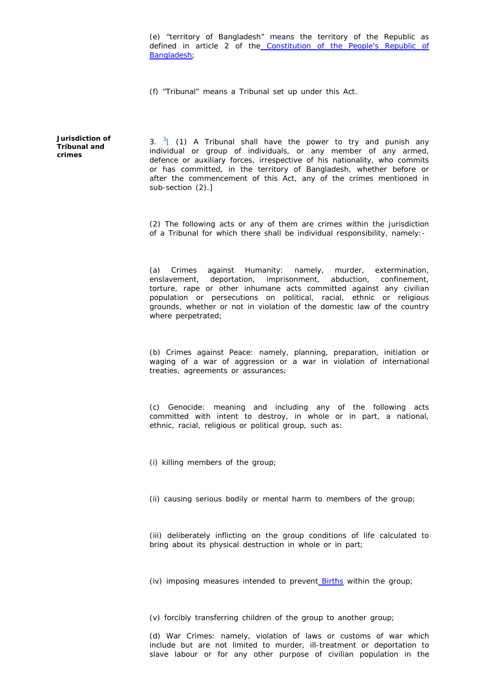(e) "territory of Bangladesh" means the territory of the Republic as defined in article 2 of the Constitution of the People's Republic of Bangladesh;

(f) "Tribunal" means a Tribunal set up under this Act.

**Jurisdiction of Tribunal and crimes**

3.  $3\frac{1}{2}$  (1) A Tribunal shall have the power to try and punish any individual or group of individuals, or any member of any armed, defence or auxiliary forces, irrespective of his nationality, who commits or has committed, in the territory of Bangladesh, whether before or after the commencement of this Act, any of the crimes mentioned in sub-section (2).]

(2) The following acts or any of them are crimes within the jurisdiction of a Tribunal for which there shall be individual responsibility, namely:-

(a) Crimes against Humanity: namely, murder, extermination, enslavement, deportation, imprisonment, abduction, confinement, torture, rape or other inhumane acts committed against any civilian population or persecutions on political, racial, ethnic or religious grounds, whether or not in violation of the domestic law of the country where perpetrated;

(b) Crimes against Peace: namely, planning, preparation, initiation or waging of a war of aggression or a war in violation of international treaties, agreements or assurances;

(c) Genocide: meaning and including any of the following acts committed with intent to destroy, in whole or in part, a national, ethnic, racial, religious or political group, such as:

(i) killing members of the group;

(ii) causing serious bodily or mental harm to members of the group;

(iii) deliberately inflicting on the group conditions of life calculated to bring about its physical destruction in whole or in part;

(iv) imposing measures intended to prevent Births within the group;

(v) forcibly transferring children of the group to another group;

(d) War Crimes: namely, violation of laws or customs of war which include but are not limited to murder, ill-treatment or deportation to slave labour or for any other purpose of civilian population in the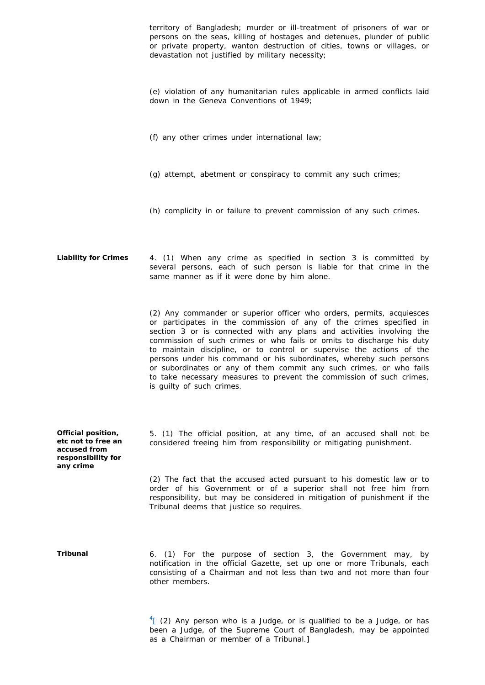territory of Bangladesh; murder or ill-treatment of prisoners of war or persons on the seas, killing of hostages and detenues, plunder of public or private property, wanton destruction of cities, towns or villages, or devastation not justified by military necessity; (e) violation of any humanitarian rules applicable in armed conflicts laid down in the Geneva Conventions of 1949; (f) any other crimes under international law; (g) attempt, abetment or conspiracy to commit any such crimes; (h) complicity in or failure to prevent commission of any such crimes. **Liability for Crimes** 4. (1) When any crime as specified in section 3 is committed by several persons, each of such person is liable for that crime in the same manner as if it were done by him alone. (2) Any commander or superior officer who orders, permits, acquiesces or participates in the commission of any of the crimes specified in section 3 or is connected with any plans and activities involving the commission of such crimes or who fails or omits to discharge his duty to maintain discipline, or to control or supervise the actions of the persons under his command or his subordinates, whereby such persons or subordinates or any of them commit any such crimes, or who fails to take necessary measures to prevent the commission of such crimes, is guilty of such crimes. **Official position, etc not to free an accused from responsibility for any crime** 5. (1) The official position, at any time, of an accused shall not be considered freeing him from responsibility or mitigating punishment. (2) The fact that the accused acted pursuant to his domestic law or to order of his Government or of a superior shall not free him from responsibility, but may be considered in mitigation of punishment if the Tribunal deems that justice so requires. **Tribunal** 6. (1) For the purpose of section 3, the Government may, by notification in the official Gazette, set up one or more Tribunals, each consisting of a Chairman and not less than two and not more than four other members.  $^{4}$ [ (2) Any person who is a Judge, or is qualified to be a Judge, or has

been a Judge, of the Supreme Court of Bangladesh, may be appointed

as a Chairman or member of a Tribunal.]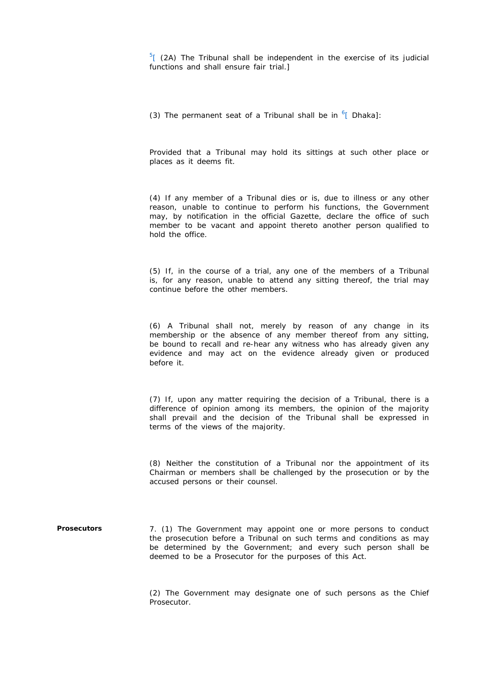$\frac{5}{2}$  (2A) The Tribunal shall be independent in the exercise of its judicial functions and shall ensure fair trial.]

(3) The permanent seat of a Tribunal shall be in  $6$ [ Dhaka]:

Provided that a Tribunal may hold its sittings at such other place or places as it deems fit.

(4) If any member of a Tribunal dies or is, due to illness or any other reason, unable to continue to perform his functions, the Government may, by notification in the official Gazette, declare the office of such member to be vacant and appoint thereto another person qualified to hold the office.

(5) If, in the course of a trial, any one of the members of a Tribunal is, for any reason, unable to attend any sitting thereof, the trial may continue before the other members.

(6) A Tribunal shall not, merely by reason of any change in its membership or the absence of any member thereof from any sitting, be bound to recall and re-hear any witness who has already given any evidence and may act on the evidence already given or produced before it.

(7) If, upon any matter requiring the decision of a Tribunal, there is a difference of opinion among its members, the opinion of the majority shall prevail and the decision of the Tribunal shall be expressed in terms of the views of the majority.

(8) Neither the constitution of a Tribunal nor the appointment of its Chairman or members shall be challenged by the prosecution or by the accused persons or their counsel.

**Prosecutors** 7. (1) The Government may appoint one or more persons to conduct the prosecution before a Tribunal on such terms and conditions as may be determined by the Government; and every such person shall be deemed to be a Prosecutor for the purposes of this Act.

> (2) The Government may designate one of such persons as the Chief Prosecutor.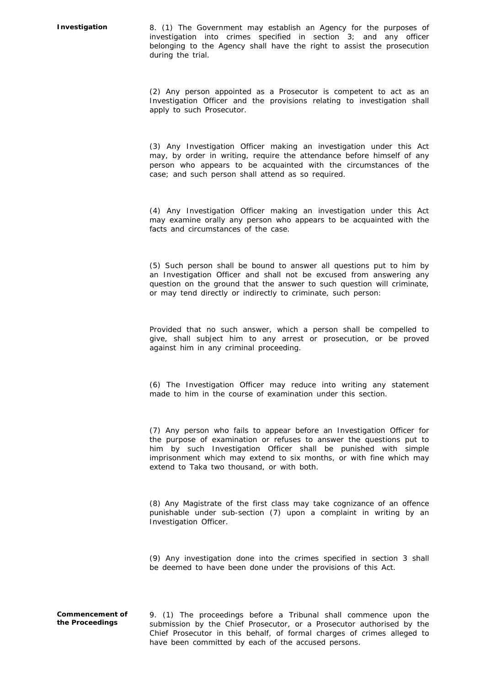**Investigation** 8. (1) The Government may establish an Agency for the purposes of investigation into crimes specified in section 3; and any officer belonging to the Agency shall have the right to assist the prosecution during the trial.

> (2) Any person appointed as a Prosecutor is competent to act as an Investigation Officer and the provisions relating to investigation shall apply to such Prosecutor.

> (3) Any Investigation Officer making an investigation under this Act may, by order in writing, require the attendance before himself of any person who appears to be acquainted with the circumstances of the case; and such person shall attend as so required.

> (4) Any Investigation Officer making an investigation under this Act may examine orally any person who appears to be acquainted with the facts and circumstances of the case.

> (5) Such person shall be bound to answer all questions put to him by an Investigation Officer and shall not be excused from answering any question on the ground that the answer to such question will criminate, or may tend directly or indirectly to criminate, such person:

> Provided that no such answer, which a person shall be compelled to give, shall subject him to any arrest or prosecution, or be proved against him in any criminal proceeding.

> (6) The Investigation Officer may reduce into writing any statement made to him in the course of examination under this section.

> (7) Any person who fails to appear before an Investigation Officer for the purpose of examination or refuses to answer the questions put to him by such Investigation Officer shall be punished with simple imprisonment which may extend to six months, or with fine which may extend to Taka two thousand, or with both.

> (8) Any Magistrate of the first class may take cognizance of an offence punishable under sub-section (7) upon a complaint in writing by an Investigation Officer.

> (9) Any investigation done into the crimes specified in section 3 shall be deemed to have been done under the provisions of this Act.

**Commencement of the Proceedings**

9. (1) The proceedings before a Tribunal shall commence upon the submission by the Chief Prosecutor, or a Prosecutor authorised by the Chief Prosecutor in this behalf, of formal charges of crimes alleged to have been committed by each of the accused persons.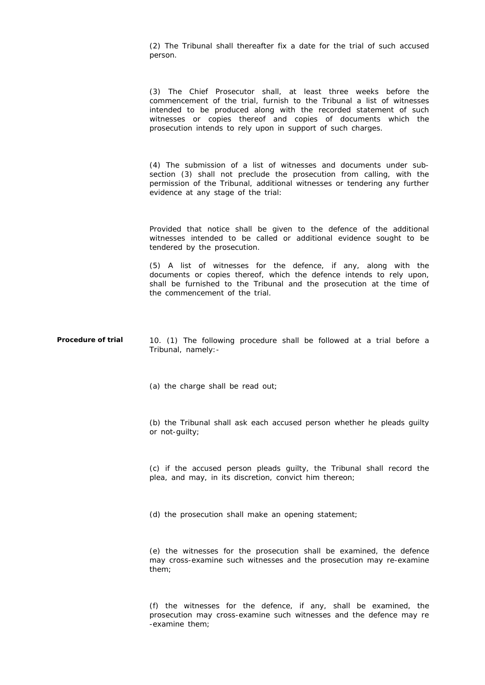(2) The Tribunal shall thereafter fix a date for the trial of such accused person.

(3) The Chief Prosecutor shall, at least three weeks before the commencement of the trial, furnish to the Tribunal a list of witnesses intended to be produced along with the recorded statement of such witnesses or copies thereof and copies of documents which the prosecution intends to rely upon in support of such charges.

(4) The submission of a list of witnesses and documents under subsection (3) shall not preclude the prosecution from calling, with the permission of the Tribunal, additional witnesses or tendering any further evidence at any stage of the trial:

Provided that notice shall be given to the defence of the additional witnesses intended to be called or additional evidence sought to be tendered by the prosecution.

(5) A list of witnesses for the defence, if any, along with the documents or copies thereof, which the defence intends to rely upon, shall be furnished to the Tribunal and the prosecution at the time of the commencement of the trial.

**Procedure of trial** 10. (1) The following procedure shall be followed at a trial before a Tribunal, namely:-

(a) the charge shall be read out;

(b) the Tribunal shall ask each accused person whether he pleads guilty or not-guilty;

(c) if the accused person pleads guilty, the Tribunal shall record the plea, and may, in its discretion, convict him thereon;

(d) the prosecution shall make an opening statement;

(e) the witnesses for the prosecution shall be examined, the defence may cross-examine such witnesses and the prosecution may re-examine them;

(f) the witnesses for the defence, if any, shall be examined, the prosecution may cross-examine such witnesses and the defence may re -examine them;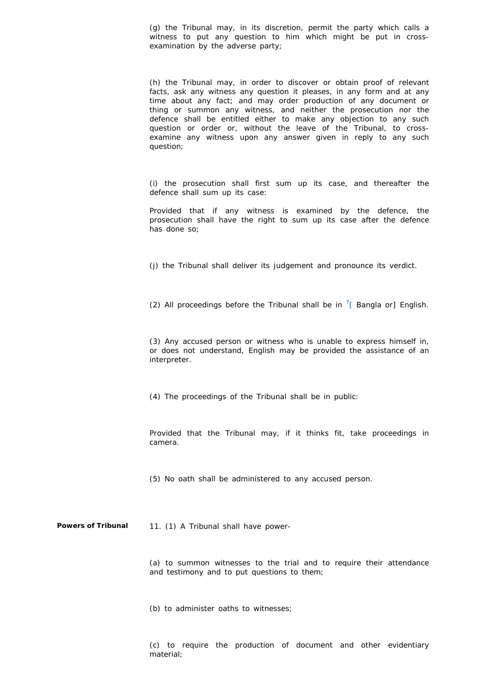(g) the Tribunal may, in its discretion, permit the party which calls a witness to put any question to him which might be put in crossexamination by the adverse party;

(h) the Tribunal may, in order to discover or obtain proof of relevant facts, ask any witness any question it pleases, in any form and at any time about any fact; and may order production of any document or thing or summon any witness, and neither the prosecution nor the defence shall be entitled either to make any objection to any such question or order or, without the leave of the Tribunal, to crossexamine any witness upon any answer given in reply to any such question;

(i) the prosecution shall first sum up its case, and thereafter the defence shall sum up its case:

Provided that if any witness is examined by the defence, the prosecution shall have the right to sum up its case after the defence has done so;

(j) the Tribunal shall deliver its judgement and pronounce its verdict.

(2) All proceedings before the Tribunal shall be in  $\frac{7}{1}$  Bangla or] English.

(3) Any accused person or witness who is unable to express himself in, or does not understand, English may be provided the assistance of an interpreter.

(4) The proceedings of the Tribunal shall be in public:

Provided that the Tribunal may, if it thinks fit, take proceedings in camera.

(5) No oath shall be administered to any accused person.

Powers of Tribunal 11. (1) A Tribunal shall have power-

(a) to summon witnesses to the trial and to require their attendance and testimony and to put questions to them;

(b) to administer oaths to witnesses;

(c) to require the production of document and other evidentiary material;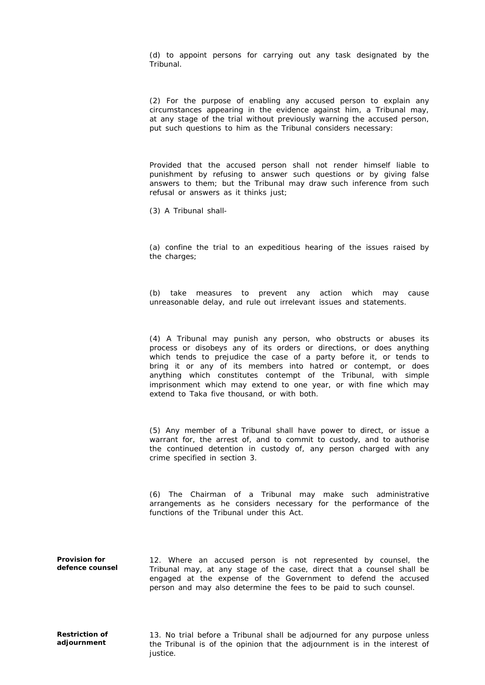(d) to appoint persons for carrying out any task designated by the Tribunal.

(2) For the purpose of enabling any accused person to explain any circumstances appearing in the evidence against him, a Tribunal may, at any stage of the trial without previously warning the accused person, put such questions to him as the Tribunal considers necessary:

Provided that the accused person shall not render himself liable to punishment by refusing to answer such questions or by giving false answers to them; but the Tribunal may draw such inference from such refusal or answers as it thinks just;

(3) A Tribunal shall-

(a) confine the trial to an expeditious hearing of the issues raised by the charges;

(b) take measures to prevent any action which may cause unreasonable delay, and rule out irrelevant issues and statements.

(4) A Tribunal may punish any person, who obstructs or abuses its process or disobeys any of its orders or directions, or does anything which tends to prejudice the case of a party before it, or tends to bring it or any of its members into hatred or contempt, or does anything which constitutes contempt of the Tribunal, with simple imprisonment which may extend to one year, or with fine which may extend to Taka five thousand, or with both.

(5) Any member of a Tribunal shall have power to direct, or issue a warrant for, the arrest of, and to commit to custody, and to authorise the continued detention in custody of, any person charged with any crime specified in section 3.

(6) The Chairman of a Tribunal may make such administrative arrangements as he considers necessary for the performance of the functions of the Tribunal under this Act.

**Provision for defence counsel** 12. Where an accused person is not represented by counsel, the Tribunal may, at any stage of the case, direct that a counsel shall be engaged at the expense of the Government to defend the accused person and may also determine the fees to be paid to such counsel.

13. No trial before a Tribunal shall be adjourned for any purpose unless the Tribunal is of the opinion that the adjournment is in the interest of justice.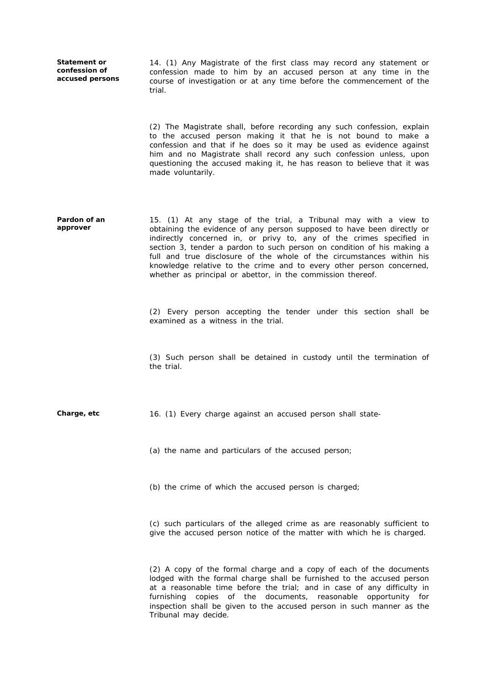**Statement or confession of accused persons**

14. (1) Any Magistrate of the first class may record any statement or confession made to him by an accused person at any time in the course of investigation or at any time before the commencement of the trial.

(2) The Magistrate shall, before recording any such confession, explain to the accused person making it that he is not bound to make a confession and that if he does so it may be used as evidence against him and no Magistrate shall record any such confession unless, upon questioning the accused making it, he has reason to believe that it was made voluntarily.

**Pardon of an approver** 15. (1) At any stage of the trial, a Tribunal may with a view to obtaining the evidence of any person supposed to have been directly or indirectly concerned in, or privy to, any of the crimes specified in section 3, tender a pardon to such person on condition of his making a full and true disclosure of the whole of the circumstances within his knowledge relative to the crime and to every other person concerned, whether as principal or abettor, in the commission thereof.

> (2) Every person accepting the tender under this section shall be examined as a witness in the trial.

> (3) Such person shall be detained in custody until the termination of the trial.

**Charge, etc** 16. (1) Every charge against an accused person shall state-

(a) the name and particulars of the accused person;

(b) the crime of which the accused person is charged;

(c) such particulars of the alleged crime as are reasonably sufficient to give the accused person notice of the matter with which he is charged.

(2) A copy of the formal charge and a copy of each of the documents lodged with the formal charge shall be furnished to the accused person at a reasonable time before the trial; and in case of any difficulty in furnishing copies of the documents, reasonable opportunity for inspection shall be given to the accused person in such manner as the Tribunal may decide.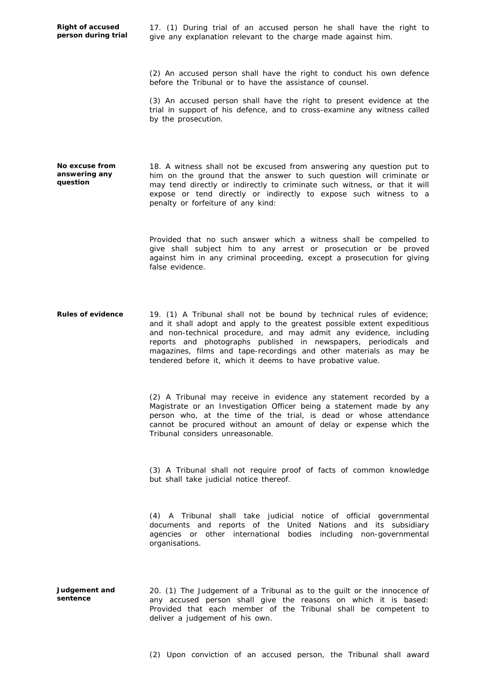**Right of accused person during trial** 17. (1) During trial of an accused person he shall have the right to give any explanation relevant to the charge made against him.

(2) An accused person shall have the right to conduct his own defence before the Tribunal or to have the assistance of counsel.

(3) An accused person shall have the right to present evidence at the trial in support of his defence, and to cross-examine any witness called by the prosecution.

**No excuse from answering any question**

18. A witness shall not be excused from answering any question put to him on the ground that the answer to such question will criminate or may tend directly or indirectly to criminate such witness, or that it will expose or tend directly or indirectly to expose such witness to a penalty or forfeiture of any kind:

Provided that no such answer which a witness shall be compelled to give shall subject him to any arrest or prosecution or be proved against him in any criminal proceeding, except a prosecution for giving false evidence.

**Rules of evidence** 19. (1) A Tribunal shall not be bound by technical rules of evidence; and it shall adopt and apply to the greatest possible extent expeditious and non-technical procedure, and may admit any evidence, including reports and photographs published in newspapers, periodicals and magazines, films and tape-recordings and other materials as may be tendered before it, which it deems to have probative value.

> (2) A Tribunal may receive in evidence any statement recorded by a Magistrate or an Investigation Officer being a statement made by any person who, at the time of the trial, is dead or whose attendance cannot be procured without an amount of delay or expense which the Tribunal considers unreasonable.

> (3) A Tribunal shall not require proof of facts of common knowledge but shall take judicial notice thereof.

> (4) A Tribunal shall take judicial notice of official governmental documents and reports of the United Nations and its subsidiary agencies or other international bodies including non-governmental organisations.

**Judgement and sentence** 20. (1) The Judgement of a Tribunal as to the guilt or the innocence of any accused person shall give the reasons on which it is based: Provided that each member of the Tribunal shall be competent to deliver a judgement of his own.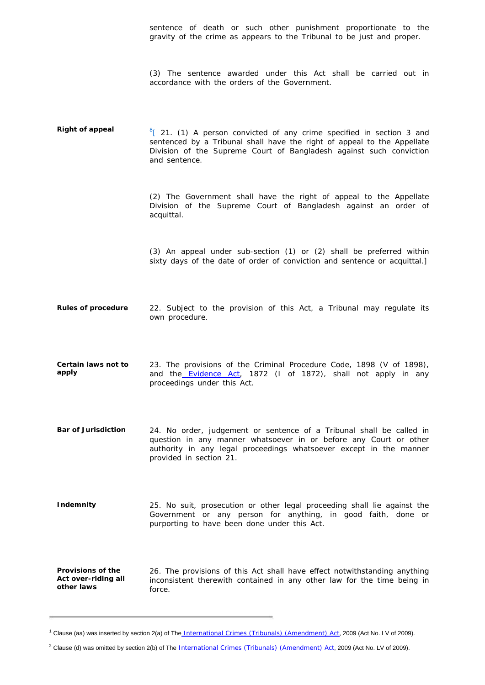sentence of death or such other punishment proportionate to the gravity of the crime as appears to the Tribunal to be just and proper.

(3) The sentence awarded under this Act shall be carried out in accordance with the orders of the Government.

**Right of appeal**  $\frac{8}{1}$  21. (1) A person convicted of any crime specified in section 3 and sentenced by a Tribunal shall have the right of appeal to the Appellate Division of the Supreme Court of Bangladesh against such conviction and sentence.

> (2) The Government shall have the right of appeal to the Appellate Division of the Supreme Court of Bangladesh against an order of acquittal.

> (3) An appeal under sub-section (1) or (2) shall be preferred within sixty days of the date of order of conviction and sentence or acquittal.]

**Rules of procedure** 22. Subject to the provision of this Act, a Tribunal may regulate its own procedure.

- **Certain laws not to apply** 23. The provisions of the Criminal Procedure Code, 1898 (V of 1898), and the Evidence Act, 1872 (I of 1872), shall not apply in any proceedings under this Act.
- **Bar of Jurisdiction** 24. No order, judgement or sentence of a Tribunal shall be called in question in any manner whatsoever in or before any Court or other authority in any legal proceedings whatsoever except in the manner provided in section 21.

**Indemnity** 25. No suit, prosecution or other legal proceeding shall lie against the Government or any person for anything, in good faith, done or purporting to have been done under this Act.

**Provisions of the Act over-riding all other laws** 26. The provisions of this Act shall have effect notwithstanding anything inconsistent therewith contained in any other law for the time being in force.

<sup>&</sup>lt;sup>1</sup> Clause (aa) was inserted by section 2(a) of The International Crimes (Tribunals) (Amendment) Act, 2009 (Act No. LV of 2009).

<sup>&</sup>lt;sup>2</sup> Clause (d) was omitted by section 2(b) of The International Crimes (Tribunals) (Amendment) Act, 2009 (Act No. LV of 2009).